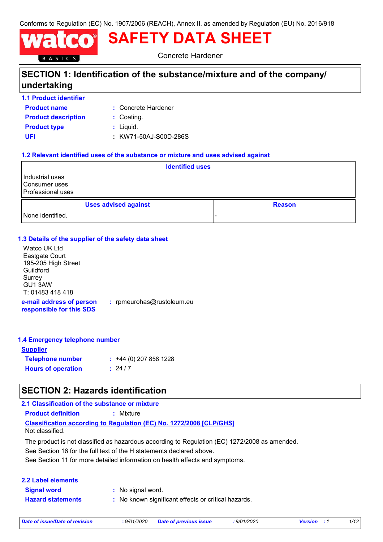Conforms to Regulation (EC) No. 1907/2006 (REACH), Annex II, as amended by Regulation (EU) No. 2016/918

# **SAFETY DATA SHEET**

Concrete Hardener

# **SECTION 1: Identification of the substance/mixture and of the company/ undertaking**

**1.1 Product identifier**

BASICS

- **Product name**
- Concrete Hardener **:**
- **Product description : Coating.**
- **Product type**  $\qquad$ **: Liquid.**
- **UFI :** KW71-50AJ-S00D-286S

### **1.2 Relevant identified uses of the substance or mixture and uses advised against**

| <b>Identified uses</b>                                |               |  |
|-------------------------------------------------------|---------------|--|
| Industrial uses<br>Consumer uses<br>Professional uses |               |  |
| <b>Uses advised against</b>                           | <b>Reason</b> |  |
| None identified.                                      |               |  |

### **1.3 Details of the supplier of the safety data sheet**

Watco UK Ltd Eastgate Court 195-205 High Street Guildford **Surrey** GU1 3AW T: 01483 418 418

**e-mail address of person responsible for this SDS :** rpmeurohas@rustoleum.eu

### **1.4 Emergency telephone number**

| <b>Supplier</b>           |                         |
|---------------------------|-------------------------|
| <b>Telephone number</b>   | $: +44(0)$ 207 858 1228 |
| <b>Hours of operation</b> | : 24/7                  |

# **SECTION 2: Hazards identification**

### **Classification according to Regulation (EC) No. 1272/2008 [CLP/GHS] 2.1 Classification of the substance or mixture Product definition :** Mixture Not classified.

See Section 11 for more detailed information on health effects and symptoms. See Section 16 for the full text of the H statements declared above. The product is not classified as hazardous according to Regulation (EC) 1272/2008 as amended.

| 2.2 Label elements       |                                                     |
|--------------------------|-----------------------------------------------------|
| <b>Signal word</b>       | : No signal word.                                   |
| <b>Hazard statements</b> | : No known significant effects or critical hazards. |

*Date of issue/Date of revision* **:** *9/01/2020 Date of previous issue : 9/01/2020 Version : 1 1/12*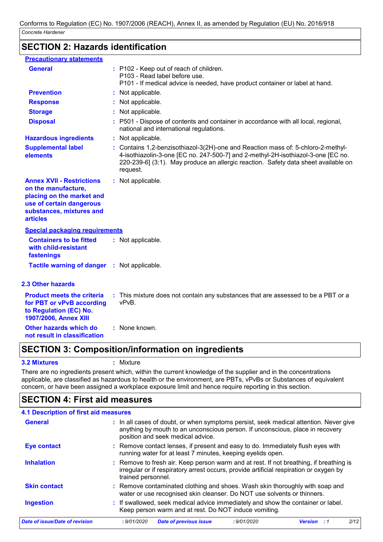# **SECTION 2: Hazards identification**

| <b>Precautionary statements</b>                                                                                                                                 |                                                                                                                                                                                                                                                                        |
|-----------------------------------------------------------------------------------------------------------------------------------------------------------------|------------------------------------------------------------------------------------------------------------------------------------------------------------------------------------------------------------------------------------------------------------------------|
| <b>General</b>                                                                                                                                                  | : P102 - Keep out of reach of children.<br>P103 - Read label before use.<br>P101 - If medical advice is needed, have product container or label at hand.                                                                                                               |
| <b>Prevention</b>                                                                                                                                               | : Not applicable.                                                                                                                                                                                                                                                      |
| <b>Response</b>                                                                                                                                                 | Not applicable.                                                                                                                                                                                                                                                        |
| <b>Storage</b>                                                                                                                                                  | : Not applicable.                                                                                                                                                                                                                                                      |
| <b>Disposal</b>                                                                                                                                                 | P501 - Dispose of contents and container in accordance with all local, regional,<br>national and international regulations.                                                                                                                                            |
| <b>Hazardous ingredients</b>                                                                                                                                    | : Not applicable.                                                                                                                                                                                                                                                      |
| <b>Supplemental label</b><br>elements                                                                                                                           | : Contains 1,2-benzisothiazol-3(2H)-one and Reaction mass of: 5-chloro-2-methyl-<br>4-isothiazolin-3-one [EC no. 247-500-7] and 2-methyl-2H-isothiazol-3-one [EC no.<br>220-239-6] (3:1). May produce an allergic reaction. Safety data sheet available on<br>request. |
| <b>Annex XVII - Restrictions</b><br>on the manufacture,<br>placing on the market and<br>use of certain dangerous<br>substances, mixtures and<br><b>articles</b> | : Not applicable.                                                                                                                                                                                                                                                      |
| <b>Special packaging requirements</b>                                                                                                                           |                                                                                                                                                                                                                                                                        |
| <b>Containers to be fitted</b><br>with child-resistant<br>fastenings                                                                                            | : Not applicable.                                                                                                                                                                                                                                                      |
| <b>Tactile warning of danger</b>                                                                                                                                | : Not applicable.                                                                                                                                                                                                                                                      |
| <b>2.3 Other hazards</b>                                                                                                                                        |                                                                                                                                                                                                                                                                        |
| <b>Product meets the criteria</b><br>for PBT or vPvB according<br>to Regulation (EC) No.<br>1907/2006, Annex XIII                                               | : This mixture does not contain any substances that are assessed to be a PBT or a<br>vPvB.                                                                                                                                                                             |
| Other hazards which do<br>not result in classification                                                                                                          | : None known.                                                                                                                                                                                                                                                          |

# **SECTION 3: Composition/information on ingredients**

#### **3.2 Mixtures :** Mixture

There are no ingredients present which, within the current knowledge of the supplier and in the concentrations applicable, are classified as hazardous to health or the environment, are PBTs, vPvBs or Substances of equivalent concern, or have been assigned a workplace exposure limit and hence require reporting in this section.

# **SECTION 4: First aid measures**

### **4.1 Description of first aid measures**

| General                        | : In all cases of doubt, or when symptoms persist, seek medical attention. Never give<br>anything by mouth to an unconscious person. If unconscious, place in recovery<br>position and seek medical advice. |
|--------------------------------|-------------------------------------------------------------------------------------------------------------------------------------------------------------------------------------------------------------|
| <b>Eye contact</b>             | : Remove contact lenses, if present and easy to do. Immediately flush eyes with<br>running water for at least 7 minutes, keeping eyelids open.                                                              |
| <b>Inhalation</b>              | : Remove to fresh air. Keep person warm and at rest. If not breathing, if breathing is<br>irregular or if respiratory arrest occurs, provide artificial respiration or oxygen by<br>trained personnel.      |
| <b>Skin contact</b>            | : Remove contaminated clothing and shoes. Wash skin thoroughly with soap and<br>water or use recognised skin cleanser. Do NOT use solvents or thinners.                                                     |
| <b>Ingestion</b>               | : If swallowed, seek medical advice immediately and show the container or label.<br>Keep person warm and at rest. Do NOT induce vomiting.                                                                   |
| Date of issue/Date of revision | 2/12<br>: 9/01/2020<br><b>Date of previous issue</b><br>: 9/01/2020<br><b>Version</b><br>- 1                                                                                                                |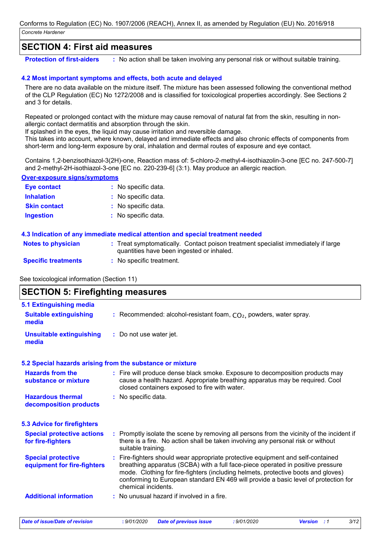### **SECTION 4: First aid measures**

**Protection of first-aiders** : No action shall be taken involving any personal risk or without suitable training.

### **4.2 Most important symptoms and effects, both acute and delayed**

There are no data available on the mixture itself. The mixture has been assessed following the conventional method of the CLP Regulation (EC) No 1272/2008 and is classified for toxicological properties accordingly. See Sections 2 and 3 for details.

Repeated or prolonged contact with the mixture may cause removal of natural fat from the skin, resulting in nonallergic contact dermatitis and absorption through the skin.

If splashed in the eyes, the liquid may cause irritation and reversible damage.

This takes into account, where known, delayed and immediate effects and also chronic effects of components from short-term and long-term exposure by oral, inhalation and dermal routes of exposure and eye contact.

Contains 1,2-benzisothiazol-3(2H)-one, Reaction mass of: 5-chloro-2-methyl-4-isothiazolin-3-one [EC no. 247-500-7] and 2-methyl-2H-isothiazol-3-one [EC no. 220-239-6] (3:1). May produce an allergic reaction.

#### **Over-exposure signs/symptoms**

| <b>Eye contact</b>  | : No specific data. |
|---------------------|---------------------|
| <b>Inhalation</b>   | : No specific data. |
| <b>Skin contact</b> | : No specific data. |
| <b>Ingestion</b>    | : No specific data. |

### **4.3 Indication of any immediate medical attention and special treatment needed**

| <b>Notes to physician</b>  | Treat symptomatically. Contact poison treatment specialist immediately if large<br>quantities have been ingested or inhaled. |
|----------------------------|------------------------------------------------------------------------------------------------------------------------------|
| <b>Specific treatments</b> | No specific treatment.                                                                                                       |

See toxicological information (Section 11)

### **SECTION 5: Firefighting measures**

| 5.1 Extinguishing media                                  |                                                                                                                                                                                                                                                                                                                                                                       |
|----------------------------------------------------------|-----------------------------------------------------------------------------------------------------------------------------------------------------------------------------------------------------------------------------------------------------------------------------------------------------------------------------------------------------------------------|
| <b>Suitable extinguishing</b><br>media                   | : Recommended: alcohol-resistant foam, $CO2$ , powders, water spray.                                                                                                                                                                                                                                                                                                  |
| <b>Unsuitable extinguishing</b><br>media                 | : Do not use water jet.                                                                                                                                                                                                                                                                                                                                               |
|                                                          | 5.2 Special hazards arising from the substance or mixture                                                                                                                                                                                                                                                                                                             |
| <b>Hazards from the</b><br>substance or mixture          | : Fire will produce dense black smoke. Exposure to decomposition products may<br>cause a health hazard. Appropriate breathing apparatus may be required. Cool<br>closed containers exposed to fire with water.                                                                                                                                                        |
| <b>Hazardous thermal</b><br>decomposition products       | : No specific data.                                                                                                                                                                                                                                                                                                                                                   |
| <b>5.3 Advice for firefighters</b>                       |                                                                                                                                                                                                                                                                                                                                                                       |
| <b>Special protective actions</b><br>for fire-fighters   | : Promptly isolate the scene by removing all persons from the vicinity of the incident if<br>there is a fire. No action shall be taken involving any personal risk or without<br>suitable training.                                                                                                                                                                   |
| <b>Special protective</b><br>equipment for fire-fighters | : Fire-fighters should wear appropriate protective equipment and self-contained<br>breathing apparatus (SCBA) with a full face-piece operated in positive pressure<br>mode. Clothing for fire-fighters (including helmets, protective boots and gloves)<br>conforming to European standard EN 469 will provide a basic level of protection for<br>chemical incidents. |
| <b>Additional information</b>                            | : No unusual hazard if involved in a fire.                                                                                                                                                                                                                                                                                                                            |

*Date of issue/Date of revision* **:** *9/01/2020 Date of previous issue : 9/01/2020 Version : 1 3/12*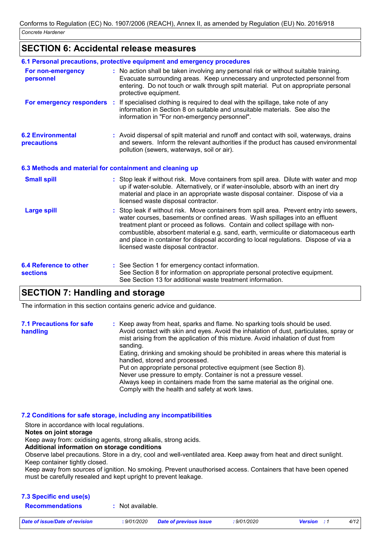### **SECTION 6: Accidental release measures**

|                                                          | 6.1 Personal precautions, protective equipment and emergency procedures                                                                                                                                                                                                                                                                                                                                                                                                        |
|----------------------------------------------------------|--------------------------------------------------------------------------------------------------------------------------------------------------------------------------------------------------------------------------------------------------------------------------------------------------------------------------------------------------------------------------------------------------------------------------------------------------------------------------------|
| For non-emergency<br>personnel                           | : No action shall be taken involving any personal risk or without suitable training.<br>Evacuate surrounding areas. Keep unnecessary and unprotected personnel from<br>entering. Do not touch or walk through spilt material. Put on appropriate personal<br>protective equipment.                                                                                                                                                                                             |
| For emergency responders                                 | : If specialised clothing is required to deal with the spillage, take note of any<br>information in Section 8 on suitable and unsuitable materials. See also the<br>information in "For non-emergency personnel".                                                                                                                                                                                                                                                              |
| <b>6.2 Environmental</b><br>precautions                  | : Avoid dispersal of spilt material and runoff and contact with soil, waterways, drains<br>and sewers. Inform the relevant authorities if the product has caused environmental<br>pollution (sewers, waterways, soil or air).                                                                                                                                                                                                                                                  |
| 6.3 Methods and material for containment and cleaning up |                                                                                                                                                                                                                                                                                                                                                                                                                                                                                |
| <b>Small spill</b>                                       | : Stop leak if without risk. Move containers from spill area. Dilute with water and mop<br>up if water-soluble. Alternatively, or if water-insoluble, absorb with an inert dry<br>material and place in an appropriate waste disposal container. Dispose of via a<br>licensed waste disposal contractor.                                                                                                                                                                       |
| <b>Large spill</b>                                       | : Stop leak if without risk. Move containers from spill area. Prevent entry into sewers,<br>water courses, basements or confined areas. Wash spillages into an effluent<br>treatment plant or proceed as follows. Contain and collect spillage with non-<br>combustible, absorbent material e.g. sand, earth, vermiculite or diatomaceous earth<br>and place in container for disposal according to local regulations. Dispose of via a<br>licensed waste disposal contractor. |
| <b>6.4 Reference to other</b><br><b>sections</b>         | : See Section 1 for emergency contact information.<br>See Section 8 for information on appropriate personal protective equipment.<br>See Section 13 for additional waste treatment information.                                                                                                                                                                                                                                                                                |

### **SECTION 7: Handling and storage**

The information in this section contains generic advice and guidance.

| <b>7.1 Precautions for safe</b><br>handling | : Keep away from heat, sparks and flame. No sparking tools should be used.<br>Avoid contact with skin and eyes. Avoid the inhalation of dust, particulates, spray or<br>mist arising from the application of this mixture. Avoid inhalation of dust from |
|---------------------------------------------|----------------------------------------------------------------------------------------------------------------------------------------------------------------------------------------------------------------------------------------------------------|
|                                             | sanding.<br>Eating, drinking and smoking should be prohibited in areas where this material is<br>handled, stored and processed.<br>Put on appropriate personal protective equipment (see Section 8).                                                     |
|                                             | Never use pressure to empty. Container is not a pressure vessel.<br>Always keep in containers made from the same material as the original one.<br>Comply with the health and safety at work laws.                                                        |

### **7.2 Conditions for safe storage, including any incompatibilities**

Store in accordance with local regulations. **Notes on joint storage** Keep away from: oxidising agents, strong alkalis, strong acids. **Additional information on storage conditions** Observe label precautions. Store in a dry, cool and well-ventilated area. Keep away from heat and direct sunlight. Keep container tightly closed. Keep away from sources of ignition. No smoking. Prevent unauthorised access. Containers that have been opened must be carefully resealed and kept upright to prevent leakage.

### **7.3 Specific end use(s) Recommendations :** Not available.

*Date of issue/Date of revision* **:** *9/01/2020 Date of previous issue : 9/01/2020 Version : 1 4/12*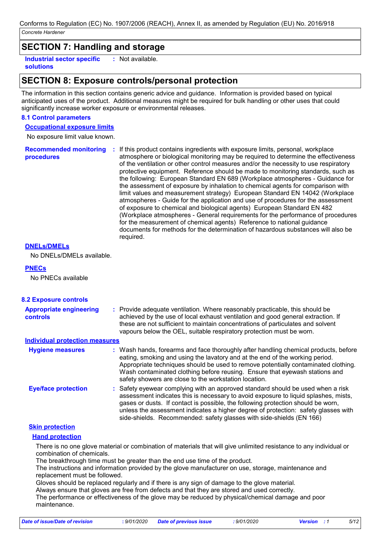# **SECTION 7: Handling and storage**

**Industrial sector specific : solutions** : Not available.

### **SECTION 8: Exposure controls/personal protection**

The information in this section contains generic advice and guidance. Information is provided based on typical anticipated uses of the product. Additional measures might be required for bulk handling or other uses that could significantly increase worker exposure or environmental releases.

#### **8.1 Control parameters**

**Occupational exposure limits**

No exposure limit value known.

**Recommended monitoring procedures :** If this product contains ingredients with exposure limits, personal, workplace atmosphere or biological monitoring may be required to determine the effectiveness of the ventilation or other control measures and/or the necessity to use respiratory protective equipment. Reference should be made to monitoring standards, such as the following: European Standard EN 689 (Workplace atmospheres - Guidance for the assessment of exposure by inhalation to chemical agents for comparison with limit values and measurement strategy) European Standard EN 14042 (Workplace atmospheres - Guide for the application and use of procedures for the assessment of exposure to chemical and biological agents) European Standard EN 482 (Workplace atmospheres - General requirements for the performance of procedures for the measurement of chemical agents) Reference to national guidance documents for methods for the determination of hazardous substances will also be required.

#### **DNELs/DMELs**

No DNELs/DMELs available.

### **PNECs**

No PNECs available

| <b>8.2 Exposure controls</b>                      |                                                                                                                                                                                                                                                                                                                                                                                                                          |
|---------------------------------------------------|--------------------------------------------------------------------------------------------------------------------------------------------------------------------------------------------------------------------------------------------------------------------------------------------------------------------------------------------------------------------------------------------------------------------------|
| <b>Appropriate engineering</b><br><b>controls</b> | : Provide adequate ventilation. Where reasonably practicable, this should be<br>achieved by the use of local exhaust ventilation and good general extraction. If<br>these are not sufficient to maintain concentrations of particulates and solvent<br>vapours below the OEL, suitable respiratory protection must be worn.                                                                                              |
| <b>Individual protection measures</b>             |                                                                                                                                                                                                                                                                                                                                                                                                                          |
| <b>Hygiene measures</b>                           | : Wash hands, forearms and face thoroughly after handling chemical products, before<br>eating, smoking and using the lavatory and at the end of the working period.<br>Appropriate techniques should be used to remove potentially contaminated clothing.<br>Wash contaminated clothing before reusing. Ensure that eyewash stations and<br>safety showers are close to the workstation location.                        |
| <b>Eye/face protection</b>                        | : Safety eyewear complying with an approved standard should be used when a risk<br>assessment indicates this is necessary to avoid exposure to liquid splashes, mists,<br>gases or dusts. If contact is possible, the following protection should be worn,<br>unless the assessment indicates a higher degree of protection: safety glasses with<br>side-shields. Recommended: safety glasses with side-shields (EN 166) |
| <b>Skin protection</b>                            |                                                                                                                                                                                                                                                                                                                                                                                                                          |
| <b>Hand protection</b>                            |                                                                                                                                                                                                                                                                                                                                                                                                                          |
| combination of chemicals.                         | There is no one glove material or combination of materials that will give unlimited resistance to any individual or                                                                                                                                                                                                                                                                                                      |

The breakthrough time must be greater than the end use time of the product.

The instructions and information provided by the glove manufacturer on use, storage, maintenance and replacement must be followed.

Gloves should be replaced regularly and if there is any sign of damage to the glove material.

Always ensure that gloves are free from defects and that they are stored and used correctly.

The performance or effectiveness of the glove may be reduced by physical/chemical damage and poor maintenance.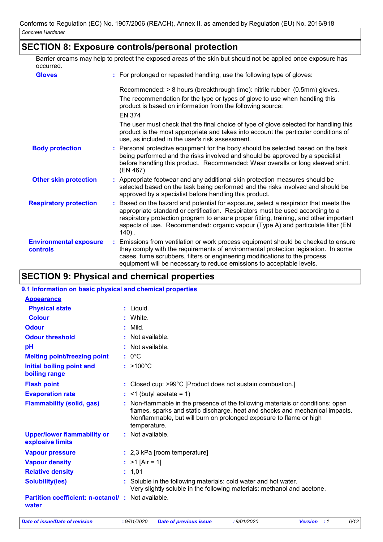## **SECTION 8: Exposure controls/personal protection**

**:** For prolonged or repeated handling, use the following type of gloves: The recommendation for the type or types of glove to use when handling this Recommended: > 8 hours (breakthrough time): nitrile rubber (0.5mm) gloves. **Gloves** Barrier creams may help to protect the exposed areas of the skin but should not be applied once exposure has occurred.

product is based on information from the following source: The user must check that the final choice of type of glove selected for handling this product is the most appropriate and takes into account the particular conditions of EN 374

- use, as included in the user's risk assessment. **Respiratory protection : Other skin protection**  $\qquad$ **:** Appropriate footwear and any additional skin protection measures should be **Body protection :** selected based on the task being performed and the risks involved and should be approved by a specialist before handling this product. Personal protective equipment for the body should be selected based on the task being performed and the risks involved and should be approved by a specialist before handling this product. Recommended: Wear overalls or long sleeved shirt. (EN 467) Based on the hazard and potential for exposure, select a respirator that meets the
- appropriate standard or certification. Respirators must be used according to a respiratory protection program to ensure proper fitting, training, and other important aspects of use. Recommended: organic vapour (Type A) and particulate filter (EN 140) .
- **Environmental exposure controls :** Emissions from ventilation or work process equipment should be checked to ensure they comply with the requirements of environmental protection legislation. In some cases, fume scrubbers, filters or engineering modifications to the process equipment will be necessary to reduce emissions to acceptable levels.

# **SECTION 9: Physical and chemical properties**

| 9.1 Information on basic physical and chemical properties                                                                                                                                                                                            |
|------------------------------------------------------------------------------------------------------------------------------------------------------------------------------------------------------------------------------------------------------|
|                                                                                                                                                                                                                                                      |
|                                                                                                                                                                                                                                                      |
|                                                                                                                                                                                                                                                      |
|                                                                                                                                                                                                                                                      |
|                                                                                                                                                                                                                                                      |
| : Not available.                                                                                                                                                                                                                                     |
| : Not available.                                                                                                                                                                                                                                     |
|                                                                                                                                                                                                                                                      |
|                                                                                                                                                                                                                                                      |
| : Closed cup: >99°C [Product does not sustain combustion.]                                                                                                                                                                                           |
| $:$ <1 (butyl acetate = 1)                                                                                                                                                                                                                           |
| : Non-flammable in the presence of the following materials or conditions: open<br>flames, sparks and static discharge, heat and shocks and mechanical impacts.<br>Nonflammable, but will burn on prolonged exposure to flame or high<br>temperature. |
| : Not available.                                                                                                                                                                                                                                     |
| : 2,3 kPa [room temperature]                                                                                                                                                                                                                         |
| : $>1$ [Air = 1]                                                                                                                                                                                                                                     |
|                                                                                                                                                                                                                                                      |
| : Soluble in the following materials: cold water and hot water.<br>Very slightly soluble in the following materials: methanol and acetone.                                                                                                           |
| <b>Partition coefficient: n-octanol/: Not available.</b>                                                                                                                                                                                             |
| $:$ >100 $^{\circ}$ C                                                                                                                                                                                                                                |

*Date of issue/Date of revision* **:** *9/01/2020 Date of previous issue : 9/01/2020 Version : 1 6/12*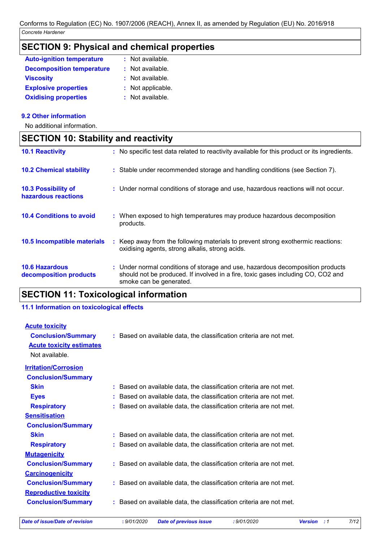# **SECTION 9: Physical and chemical properties**

| <b>Auto-ignition temperature</b> | : Not available.  |
|----------------------------------|-------------------|
| <b>Decomposition temperature</b> | : Not available.  |
| <b>Viscosity</b>                 | : Not available.  |
| <b>Explosive properties</b>      | : Not applicable. |
| <b>Oxidising properties</b>      | : Not available.  |

### **9.2 Other information**

No additional information.

# **SECTION 10: Stability and reactivity**

| <b>10.1 Reactivity</b>                            |           | : No specific test data related to reactivity available for this product or its ingredients.                                                                                                  |
|---------------------------------------------------|-----------|-----------------------------------------------------------------------------------------------------------------------------------------------------------------------------------------------|
| <b>10.2 Chemical stability</b>                    |           | : Stable under recommended storage and handling conditions (see Section 7).                                                                                                                   |
| <b>10.3 Possibility of</b><br>hazardous reactions |           | : Under normal conditions of storage and use, hazardous reactions will not occur.                                                                                                             |
| <b>10.4 Conditions to avoid</b>                   | products. | : When exposed to high temperatures may produce hazardous decomposition                                                                                                                       |
| 10.5 Incompatible materials                       |           | : Keep away from the following materials to prevent strong exothermic reactions:<br>oxidising agents, strong alkalis, strong acids.                                                           |
| <b>10.6 Hazardous</b><br>decomposition products   |           | : Under normal conditions of storage and use, hazardous decomposition products<br>should not be produced. If involved in a fire, toxic gases including CO, CO2 and<br>smoke can be generated. |

# **SECTION 11: Toxicological information**

### **11.1 Information on toxicological effects**

| <b>Acute toxicity</b>           |                                                                     |
|---------------------------------|---------------------------------------------------------------------|
| <b>Conclusion/Summary</b>       | : Based on available data, the classification criteria are not met. |
| <b>Acute toxicity estimates</b> |                                                                     |
| Not available.                  |                                                                     |
| <b>Irritation/Corrosion</b>     |                                                                     |
| <b>Conclusion/Summary</b>       |                                                                     |
| <b>Skin</b>                     | : Based on available data, the classification criteria are not met. |
| <b>Eyes</b>                     | : Based on available data, the classification criteria are not met. |
| <b>Respiratory</b>              | : Based on available data, the classification criteria are not met. |
| <b>Sensitisation</b>            |                                                                     |
| <b>Conclusion/Summary</b>       |                                                                     |
| <b>Skin</b>                     | : Based on available data, the classification criteria are not met. |
| <b>Respiratory</b>              | : Based on available data, the classification criteria are not met. |
| <b>Mutagenicity</b>             |                                                                     |
| <b>Conclusion/Summary</b>       | : Based on available data, the classification criteria are not met. |
| <b>Carcinogenicity</b>          |                                                                     |
| <b>Conclusion/Summary</b>       | : Based on available data, the classification criteria are not met. |
| <b>Reproductive toxicity</b>    |                                                                     |
| <b>Conclusion/Summary</b>       | : Based on available data, the classification criteria are not met. |
|                                 |                                                                     |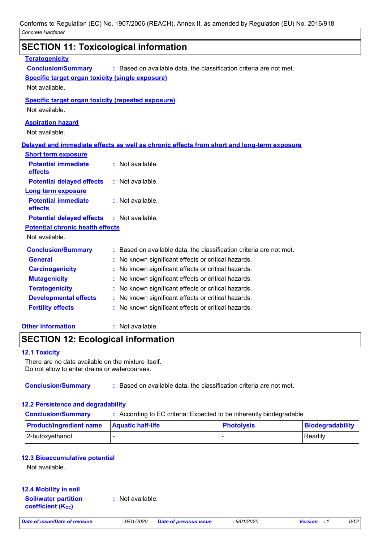| <b>SECTION 11: Toxicological information</b>              |                                                                                            |
|-----------------------------------------------------------|--------------------------------------------------------------------------------------------|
| <b>Teratogenicity</b>                                     |                                                                                            |
| <b>Conclusion/Summary</b>                                 | : Based on available data, the classification criteria are not met.                        |
| <b>Specific target organ toxicity (single exposure)</b>   |                                                                                            |
| Not available.                                            |                                                                                            |
| <b>Specific target organ toxicity (repeated exposure)</b> |                                                                                            |
| Not available.                                            |                                                                                            |
| <b>Aspiration hazard</b>                                  |                                                                                            |
| Not available.                                            |                                                                                            |
|                                                           | Delayed and immediate effects as well as chronic effects from short and long-term exposure |
| <b>Short term exposure</b>                                |                                                                                            |
| <b>Potential immediate</b><br>effects                     | $:$ Not available.                                                                         |
| <b>Potential delayed effects</b>                          | $:$ Not available.                                                                         |
| <b>Long term exposure</b>                                 |                                                                                            |
| <b>Potential immediate</b>                                | : Not available.                                                                           |
| effects                                                   |                                                                                            |
| <b>Potential delayed effects</b>                          | : Not available.                                                                           |
| <b>Potential chronic health effects</b>                   |                                                                                            |
| Not available.                                            |                                                                                            |
| <b>Conclusion/Summary</b>                                 | : Based on available data, the classification criteria are not met.                        |
| <b>General</b>                                            | No known significant effects or critical hazards.                                          |
| <b>Carcinogenicity</b>                                    | No known significant effects or critical hazards.                                          |
| <b>Mutagenicity</b>                                       | No known significant effects or critical hazards.                                          |
| <b>Teratogenicity</b>                                     | : No known significant effects or critical hazards.                                        |
| <b>Developmental effects</b>                              | : No known significant effects or critical hazards.                                        |
| <b>Fertility effects</b>                                  | : No known significant effects or critical hazards.                                        |
|                                                           |                                                                                            |

### **Other information :**

### **SECTION 12: Ecological information**

#### **12.1 Toxicity**

There are no data available on the mixture itself. Do not allow to enter drains or watercourses.

**Conclusion/Summary :** Based on available data, the classification criteria are not met.

### **12.2 Persistence and degradability**

**Conclusion/Summary :** According to EC criteria: Expected to be inherently biodegradable

| <b>Product/ingredient name</b> | <b>Aquatic half-life</b> | <b>Photolysis</b> | Biodegradability |
|--------------------------------|--------------------------|-------------------|------------------|
| 2-butoxyethanol                |                          |                   | Readily          |

### **12.3 Bioaccumulative potential**

Not available.

### **12.4 Mobility in soil**

**Soil/water partition coefficient (KOC)**

**:** Not available.

: Not available.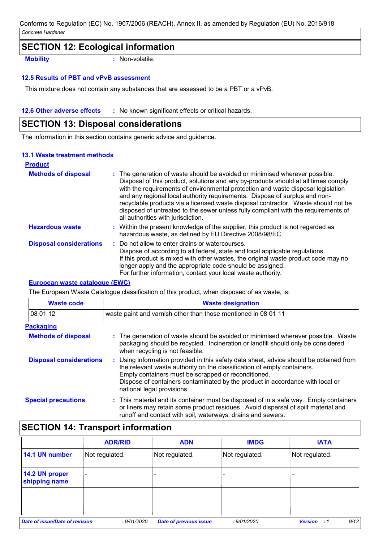### **SECTION 12: Ecological information**

**Mobility :** Non-volatile.

#### **12.5 Results of PBT and vPvB assessment**

This mixture does not contain any substances that are assessed to be a PBT or a vPvB.

#### **12.6 Other adverse effects** : No known significant effects or critical hazards.

### **SECTION 13: Disposal considerations**

The information in this section contains generic advice and guidance.

#### **13.1 Waste treatment methods**

| <b>Product</b>                 |                                                                                                                                                                                                                                                                                                                                                                                                                                                                                                                                                      |
|--------------------------------|------------------------------------------------------------------------------------------------------------------------------------------------------------------------------------------------------------------------------------------------------------------------------------------------------------------------------------------------------------------------------------------------------------------------------------------------------------------------------------------------------------------------------------------------------|
| <b>Methods of disposal</b>     | : The generation of waste should be avoided or minimised wherever possible.<br>Disposal of this product, solutions and any by-products should at all times comply<br>with the requirements of environmental protection and waste disposal legislation<br>and any regional local authority requirements. Dispose of surplus and non-<br>recyclable products via a licensed waste disposal contractor. Waste should not be<br>disposed of untreated to the sewer unless fully compliant with the requirements of<br>all authorities with jurisdiction. |
| <b>Hazardous waste</b>         | : Within the present knowledge of the supplier, this product is not regarded as<br>hazardous waste, as defined by EU Directive 2008/98/EC.                                                                                                                                                                                                                                                                                                                                                                                                           |
| <b>Disposal considerations</b> | : Do not allow to enter drains or watercourses.<br>Dispose of according to all federal, state and local applicable regulations.<br>If this product is mixed with other wastes, the original waste product code may no<br>longer apply and the appropriate code should be assigned.<br>For further information, contact your local waste authority.                                                                                                                                                                                                   |

### **European waste catalogue (EWC)**

The European Waste Catalogue classification of this product, when disposed of as waste, is:

| <b>Waste code</b>              | <b>Waste designation</b>                                                                                                                                                                                                                                                                                                                |
|--------------------------------|-----------------------------------------------------------------------------------------------------------------------------------------------------------------------------------------------------------------------------------------------------------------------------------------------------------------------------------------|
| 08 01 12                       | waste paint and varnish other than those mentioned in 08 01 11                                                                                                                                                                                                                                                                          |
| <b>Packaging</b>               |                                                                                                                                                                                                                                                                                                                                         |
| <b>Methods of disposal</b>     | : The generation of waste should be avoided or minimised wherever possible. Waste<br>packaging should be recycled. Incineration or landfill should only be considered<br>when recycling is not feasible.                                                                                                                                |
| <b>Disposal considerations</b> | : Using information provided in this safety data sheet, advice should be obtained from<br>the relevant waste authority on the classification of empty containers.<br>Empty containers must be scrapped or reconditioned.<br>Dispose of containers contaminated by the product in accordance with local or<br>national legal provisions. |
| <b>Special precautions</b>     | : This material and its container must be disposed of in a safe way. Empty containers<br>or liners may retain some product residues. Avoid dispersal of spilt material and<br>runoff and contact with soil, waterways, drains and sewers.                                                                                               |

# **SECTION 14: Transport information**

|                                       | <b>ADR/RID</b>           | <b>ADN</b>                    | <b>IMDG</b>    | <b>IATA</b>                     |
|---------------------------------------|--------------------------|-------------------------------|----------------|---------------------------------|
| 14.1 UN number                        | Not regulated.           | Not regulated.                | Not regulated. | Not regulated.                  |
| 14.2 UN proper<br>shipping name       | $\overline{\phantom{0}}$ |                               |                |                                 |
|                                       |                          |                               |                |                                 |
| <b>Date of issue/Date of revision</b> | : 9/01/2020              | <b>Date of previous issue</b> | : 9/01/2020    | 9/12<br><b>Version</b><br>. . 1 |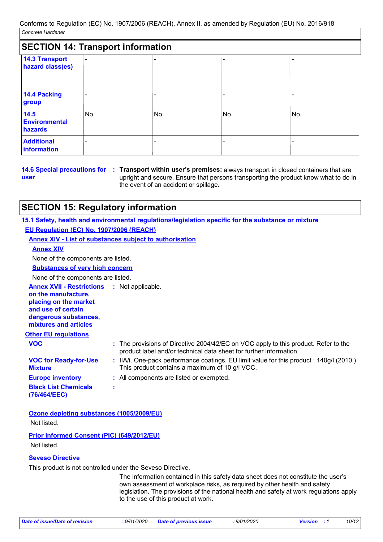| <b>SECTION 14: Transport information</b>  |                          |     |     |     |
|-------------------------------------------|--------------------------|-----|-----|-----|
| <b>14.3 Transport</b><br>hazard class(es) | $\blacksquare$           |     |     |     |
| 14.4 Packing<br>group                     | $\overline{\phantom{a}}$ |     |     |     |
| 14.5<br><b>Environmental</b><br>hazards   | No.                      | No. | No. | No. |
| <b>Additional</b><br>information          | -                        |     |     |     |

**user**

**14.6 Special precautions for : Transport within user's premises: always transport in closed containers that are** upright and secure. Ensure that persons transporting the product know what to do in the event of an accident or spillage.

# **SECTION 15: Regulatory information**

**15.1 Safety, health and environmental regulations/legislation specific for the substance or mixture EU Regulation (EC) No. 1907/2006 (REACH)**

|                                                                                                                                                                            | <b>Annex XIV - List of substances subject to authorisation</b>                                                                                          |
|----------------------------------------------------------------------------------------------------------------------------------------------------------------------------|---------------------------------------------------------------------------------------------------------------------------------------------------------|
| <b>Annex XIV</b>                                                                                                                                                           |                                                                                                                                                         |
| None of the components are listed.                                                                                                                                         |                                                                                                                                                         |
| <b>Substances of very high concern</b>                                                                                                                                     |                                                                                                                                                         |
| None of the components are listed.                                                                                                                                         |                                                                                                                                                         |
| <b>Annex XVII - Restrictions : Not applicable.</b><br>on the manufacture,<br>placing on the market<br>and use of certain<br>dangerous substances,<br>mixtures and articles |                                                                                                                                                         |
| <b>Other EU regulations</b>                                                                                                                                                |                                                                                                                                                         |
| <b>VOC</b>                                                                                                                                                                 | The provisions of Directive 2004/42/EC on VOC apply to this product. Refer to the<br>product label and/or technical data sheet for further information. |
| <b>VOC for Ready-for-Use</b><br><b>Mixture</b>                                                                                                                             | : IIA/i. One-pack performance coatings. EU limit value for this product : 140g/l (2010.)<br>This product contains a maximum of 10 g/l VOC.              |
| <b>Europe inventory</b>                                                                                                                                                    | : All components are listed or exempted.                                                                                                                |
| <b>Black List Chemicals</b><br>(76/464/EEC)                                                                                                                                | ÷                                                                                                                                                       |

**Ozone depleting substances (1005/2009/EU)** Not listed.

**Prior Informed Consent (PIC) (649/2012/EU)** Not listed.

### **Seveso Directive**

This product is not controlled under the Seveso Directive.

The information contained in this safety data sheet does not constitute the user's own assessment of workplace risks, as required by other health and safety legislation. The provisions of the national health and safety at work regulations apply to the use of this product at work.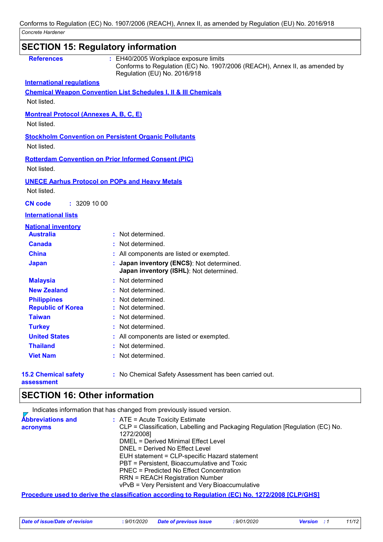|                                               | <b>SECTION 15: Regulatory information</b>                                                                                                           |
|-----------------------------------------------|-----------------------------------------------------------------------------------------------------------------------------------------------------|
| <b>References</b>                             | : EH40/2005 Workplace exposure limits<br>Conforms to Regulation (EC) No. 1907/2006 (REACH), Annex II, as amended by<br>Regulation (EU) No. 2016/918 |
| <b>International regulations</b>              |                                                                                                                                                     |
|                                               | <b>Chemical Weapon Convention List Schedules I, II &amp; III Chemicals</b>                                                                          |
| Not listed.                                   |                                                                                                                                                     |
| <b>Montreal Protocol (Annexes A, B, C, E)</b> |                                                                                                                                                     |
| Not listed.                                   |                                                                                                                                                     |
|                                               | <b>Stockholm Convention on Persistent Organic Pollutants</b>                                                                                        |
| Not listed.                                   |                                                                                                                                                     |
|                                               |                                                                                                                                                     |
| Not listed.                                   | <b>Rotterdam Convention on Prior Informed Consent (PIC)</b>                                                                                         |
|                                               |                                                                                                                                                     |
|                                               | <b>UNECE Aarhus Protocol on POPs and Heavy Metals</b>                                                                                               |
| Not listed.                                   |                                                                                                                                                     |
| : 3209100<br><b>CN</b> code                   |                                                                                                                                                     |
| <b>International lists</b>                    |                                                                                                                                                     |
| <b>National inventory</b>                     |                                                                                                                                                     |
| <b>Australia</b>                              | : Not determined.                                                                                                                                   |
| <b>Canada</b>                                 | Not determined.                                                                                                                                     |
| <b>China</b>                                  | All components are listed or exempted.                                                                                                              |
| <b>Japan</b>                                  | Japan inventory (ENCS): Not determined.<br>Japan inventory (ISHL): Not determined.                                                                  |
| <b>Malaysia</b>                               | : Not determined                                                                                                                                    |
| <b>New Zealand</b>                            | Not determined.                                                                                                                                     |
| <b>Philippines</b>                            | Not determined.                                                                                                                                     |
| <b>Republic of Korea</b>                      | Not determined.                                                                                                                                     |
| <b>Taiwan</b>                                 | : Not determined.                                                                                                                                   |
| <b>Turkey</b>                                 | : Not determined.                                                                                                                                   |
| <b>United States</b>                          | : All components are listed or exempted.                                                                                                            |
| <b>Thailand</b>                               | Not determined.                                                                                                                                     |
| <b>Viet Nam</b>                               | Not determined.                                                                                                                                     |
| <b>15.2 Chemical safety</b><br>assessment     | : No Chemical Safety Assessment has been carried out.                                                                                               |

# **SECTION 16: Other information**

Indicates information that has changed from previously issued version.

| <b>Abbreviations and</b> | $\therefore$ ATE = Acute Toxicity Estimate                                                               |
|--------------------------|----------------------------------------------------------------------------------------------------------|
| acronyms                 | CLP = Classification, Labelling and Packaging Regulation [Regulation (EC) No.                            |
|                          | 1272/2008]                                                                                               |
|                          | DMEL = Derived Minimal Effect Level                                                                      |
|                          | DNEL = Derived No Effect Level                                                                           |
|                          | EUH statement = CLP-specific Hazard statement                                                            |
|                          | PBT = Persistent, Bioaccumulative and Toxic                                                              |
|                          | PNEC = Predicted No Effect Concentration                                                                 |
|                          | <b>RRN = REACH Registration Number</b>                                                                   |
|                          | vPvB = Very Persistent and Very Bioaccumulative                                                          |
|                          | <b>Drocodure used to derive the elgecification according to Dequistion (EC) No. 1979/2008 [CI DICHS]</b> |